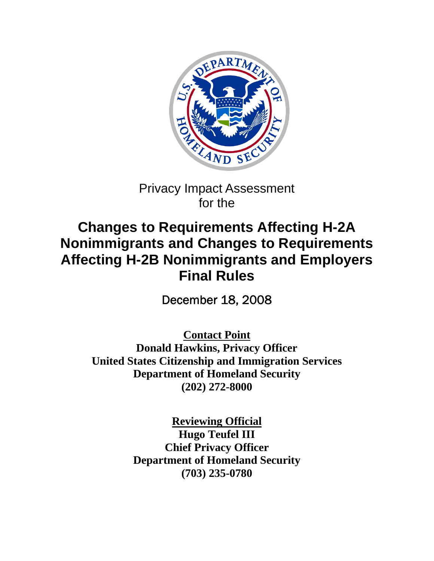

## Privacy Impact Assessment for the

# **Changes to Requirements Affecting H-2A Nonimmigrants and Changes to Requirements Affecting H-2B Nonimmigrants and Employers Final Rules**

December 18, 2008

**Contact Point Donald Hawkins, Privacy Officer United States Citizenship and Immigration Services Department of Homeland Security (202) 272-8000** 

> **Reviewing Official Hugo Teufel III Chief Privacy Officer Department of Homeland Security (703) 235-0780**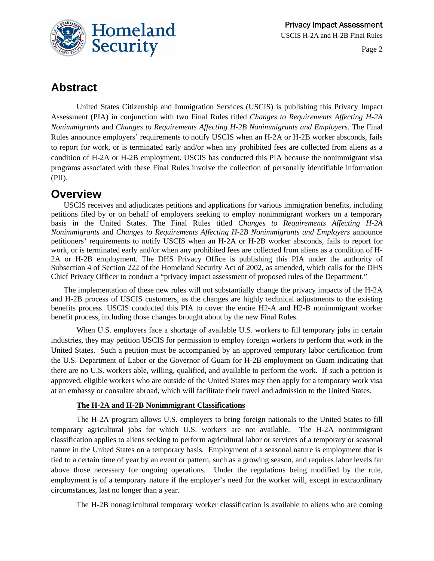

## **Abstract**

United States Citizenship and Immigration Services (USCIS) is publishing this Privacy Impact Assessment (PIA) in conjunction with two Final Rules titled *Changes to Requirements Affecting H-2A Nonimmigrants* and *Changes to Requirements Affecting H-2B Nonimmigrants and Employers*. The Final Rules announce employers' requirements to notify USCIS when an H-2A or H-2B worker absconds, fails to report for work, or is terminated early and/or when any prohibited fees are collected from aliens as a condition of H-2A or H-2B employment. USCIS has conducted this PIA because the nonimmigrant visa programs associated with these Final Rules involve the collection of personally identifiable information (PII).

### **Overview**

USCIS receives and adjudicates petitions and applications for various immigration benefits, including petitions filed by or on behalf of employers seeking to employ nonimmigrant workers on a temporary basis in the United States. The Final Rules titled *Changes to Requirements Affecting H-2A Nonimmigrants* and *Changes to Requirements Affecting H-2B Nonimmigrants and Employers* announce petitioners' requirements to notify USCIS when an H-2A or H-2B worker absconds, fails to report for work, or is terminated early and/or when any prohibited fees are collected from aliens as a condition of H-2A or H-2B employment. The DHS Privacy Office is publishing this PIA under the authority of Subsection 4 of Section 222 of the Homeland Security Act of 2002, as amended, which calls for the DHS Chief Privacy Officer to conduct a "privacy impact assessment of proposed rules of the Department."

The implementation of these new rules will not substantially change the privacy impacts of the H-2A and H-2B process of USCIS customers, as the changes are highly technical adjustments to the existing benefits process. USCIS conducted this PIA to cover the entire H2-A and H2-B nonimmigrant worker benefit process, including those changes brought about by the new Final Rules.

When U.S. employers face a shortage of available U.S. workers to fill temporary jobs in certain industries, they may petition USCIS for permission to employ foreign workers to perform that work in the United States. Such a petition must be accompanied by an approved temporary labor certification from the U.S. Department of Labor or the Governor of Guam for H-2B employment on Guam indicating that there are no U.S. workers able, willing, qualified, and available to perform the work. If such a petition is approved, eligible workers who are outside of the United States may then apply for a temporary work visa at an embassy or consulate abroad, which will facilitate their travel and admission to the United States.

#### **The H-2A and H-2B Nonimmigrant Classifications**

The H-2A program allows U.S. employers to bring foreign nationals to the United States to fill temporary agricultural jobs for which U.S. workers are not available. The H-2A nonimmigrant classification applies to aliens seeking to perform agricultural labor or services of a temporary or seasonal nature in the United States on a temporary basis. Employment of a seasonal nature is employment that is tied to a certain time of year by an event or pattern, such as a growing season, and requires labor levels far above those necessary for ongoing operations. Under the regulations being modified by the rule, employment is of a temporary nature if the employer's need for the worker will, except in extraordinary circumstances, last no longer than a year.

The H-2B nonagricultural temporary worker classification is available to aliens who are coming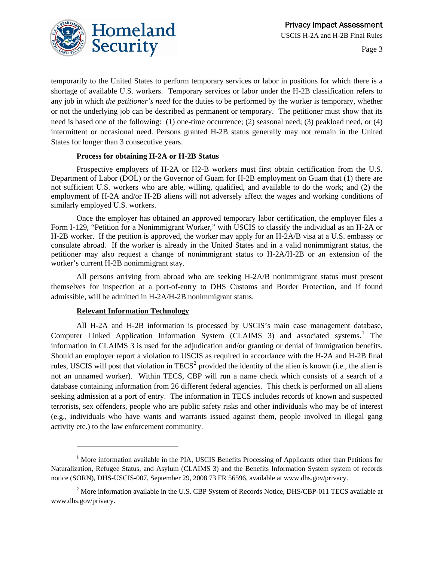

temporarily to the United States to perform temporary services or labor in positions for which there is a shortage of available U.S. workers. Temporary services or labor under the H-2B classification refers to any job in which *the petitioner's need* for the duties to be performed by the worker is temporary, whether or not the underlying job can be described as permanent or temporary. The petitioner must show that its need is based one of the following: (1) one-time occurrence; (2) seasonal need; (3) peakload need, or (4) intermittent or occasional need. Persons granted H-2B status generally may not remain in the United States for longer than 3 consecutive years.

#### **Process for obtaining H-2A or H-2B Status**

Prospective employers of H-2A or H2-B workers must first obtain certification from the U.S. Department of Labor (DOL) or the Governor of Guam for H-2B employment on Guam that (1) there are not sufficient U.S. workers who are able, willing, qualified, and available to do the work; and (2) the employment of H-2A and/or H-2B aliens will not adversely affect the wages and working conditions of similarly employed U.S. workers.

Once the employer has obtained an approved temporary labor certification, the employer files a Form I-129, "Petition for a Nonimmigrant Worker," with USCIS to classify the individual as an H-2A or H-2B worker. If the petition is approved, the worker may apply for an H-2A/B visa at a U.S. embassy or consulate abroad. If the worker is already in the United States and in a valid nonimmigrant status, the petitioner may also request a change of nonimmigrant status to H-2A/H-2B or an extension of the worker's current H-2B nonimmigrant stay.

All persons arriving from abroad who are seeking H-2A/B nonimmigrant status must present themselves for inspection at a port-of-entry to DHS Customs and Border Protection, and if found admissible, will be admitted in H-2A/H-2B nonimmigrant status.

#### **Relevant Information Technology**

l

All H-2A and H-2B information is processed by USCIS's main case management database, Computer Linked Application Information System (CLAIMS 3) and associated systems.<sup>[1](#page-2-0)</sup> The information in CLAIMS 3 is used for the adjudication and/or granting or denial of immigration benefits. Should an employer report a violation to USCIS as required in accordance with the H-2A and H-2B final rules, USCIS will post that violation in  $TECS<sup>2</sup>$  $TECS<sup>2</sup>$  $TECS<sup>2</sup>$  provided the identity of the alien is known (i.e., the alien is not an unnamed worker). Within TECS, CBP will run a name check which consists of a search of a database containing information from 26 different federal agencies. This check is performed on all aliens seeking admission at a port of entry. The information in TECS includes records of known and suspected terrorists, sex offenders, people who are public safety risks and other individuals who may be of interest (e.g., individuals who have wants and warrants issued against them, people involved in illegal gang activity etc.) to the law enforcement community.

<span id="page-2-0"></span><sup>&</sup>lt;sup>1</sup> More information available in the PIA, USCIS Benefits Processing of Applicants other than Petitions for Naturalization, Refugee Status, and Asylum (CLAIMS 3) and the Benefits Information System system of records notice (SORN), DHS-USCIS-007, September 29, 2008 73 FR 56596, available at www.dhs.gov/privacy.

<span id="page-2-1"></span> $2^2$  More information available in the U.S. CBP System of Records Notice, DHS/CBP-011 TECS available at www.dhs.gov/privacy.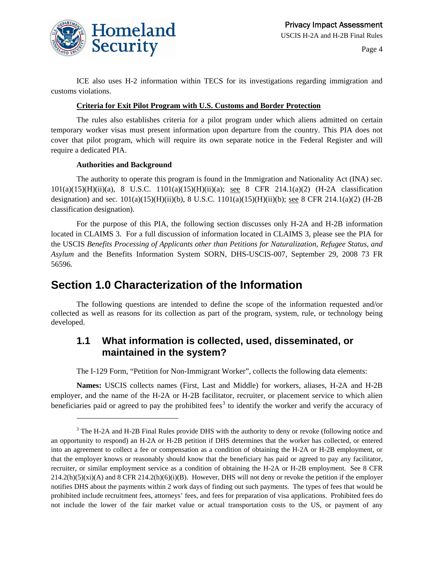

ICE also uses H-2 information within TECS for its investigations regarding immigration and customs violations.

#### **Criteria for Exit Pilot Program with U.S. Customs and Border Protection**

The rules also establishes criteria for a pilot program under which aliens admitted on certain temporary worker visas must present information upon departure from the country. This PIA does not cover that pilot program, which will require its own separate notice in the Federal Register and will require a dedicated PIA.

#### **Authorities and Background**

-

The authority to operate this program is found in the Immigration and Nationality Act (INA) sec. 101(a)(15)(H)(ii)(a), 8 U.S.C. 1101(a)(15)(H)(ii)(a); see 8 CFR 214.1(a)(2) (H-2A classification designation) and sec.  $101(a)(15)(H)(ii)(b)$ , 8 U.S.C.  $1101(a)(15)(H)(ii)(b)$ ; see 8 CFR 214.1(a)(2) (H-2B classification designation).

For the purpose of this PIA, the following section discusses only H-2A and H-2B information located in CLAIMS 3. For a full discussion of information located in CLAIMS 3, please see the PIA for the USCIS *Benefits Processing of Applicants other than Petitions for Naturalization, Refugee Status, and Asylum* and the Benefits Information System SORN, DHS-USCIS-007, September 29, 2008 73 FR 56596*.*

### **Section 1.0 Characterization of the Information**

The following questions are intended to define the scope of the information requested and/or collected as well as reasons for its collection as part of the program, system, rule, or technology being developed.

### **1.1 What information is collected, used, disseminated, or maintained in the system?**

The I-129 Form, "Petition for Non-Immigrant Worker", collects the following data elements:

**Names:** USCIS collects names (First, Last and Middle) for workers, aliases, H-2A and H-2B employer, and the name of the H-2A or H-2B facilitator, recruiter, or placement service to which alien beneficiaries paid or agreed to pay the prohibited fees<sup>[3](#page-3-0)</sup> to identify the worker and verify the accuracy of

<span id="page-3-0"></span><sup>&</sup>lt;sup>3</sup> The H-2A and H-2B Final Rules provide DHS with the authority to deny or revoke (following notice and an opportunity to respond) an H-2A or H-2B petition if DHS determines that the worker has collected, or entered into an agreement to collect a fee or compensation as a condition of obtaining the H-2A or H-2B employment, or that the employer knows or reasonably should know that the beneficiary has paid or agreed to pay any facilitator, recruiter, or similar employment service as a condition of obtaining the H-2A or H-2B employment. See 8 CFR  $214.2(h)(5)(xi)(A)$  and 8 CFR  $214.2(h)(6)(i)(B)$ . However, DHS will not deny or revoke the petition if the employer notifies DHS about the payments within 2 work days of finding out such payments. The types of fees that would be prohibited include recruitment fees, attorneys' fees, and fees for preparation of visa applications. Prohibited fees do not include the lower of the fair market value or actual transportation costs to the US, or payment of any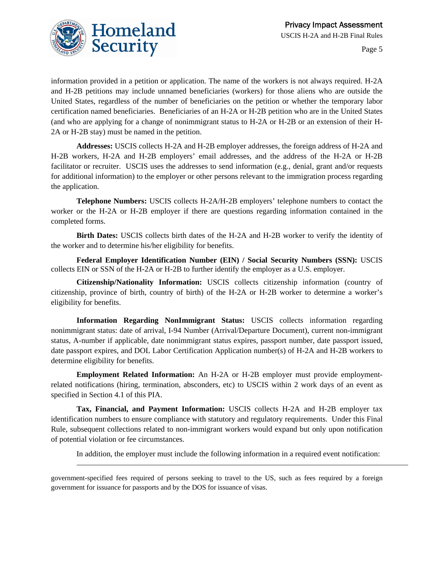

l

Page 5

information provided in a petition or application. The name of the workers is not always required. H-2A and H-2B petitions may include unnamed beneficiaries (workers) for those aliens who are outside the United States, regardless of the number of beneficiaries on the petition or whether the temporary labor certification named beneficiaries. Beneficiaries of an H-2A or H-2B petition who are in the United States (and who are applying for a change of nonimmigrant status to H-2A or H-2B or an extension of their H-2A or H-2B stay) must be named in the petition.

**Addresses:** USCIS collects H-2A and H-2B employer addresses, the foreign address of H-2A and H-2B workers, H-2A and H-2B employers' email addresses, and the address of the H-2A or H-2B facilitator or recruiter. USCIS uses the addresses to send information (e.g., denial, grant and/or requests for additional information) to the employer or other persons relevant to the immigration process regarding the application.

**Telephone Numbers:** USCIS collects H-2A/H-2B employers' telephone numbers to contact the worker or the H-2A or H-2B employer if there are questions regarding information contained in the completed forms.

**Birth Dates:** USCIS collects birth dates of the H-2A and H-2B worker to verify the identity of the worker and to determine his/her eligibility for benefits.

**Federal Employer Identification Number (EIN) / Social Security Numbers (SSN):** USCIS collects EIN or SSN of the H-2A or H-2B to further identify the employer as a U.S. employer.

**Citizenship/Nationality Information:** USCIS collects citizenship information (country of citizenship, province of birth, country of birth) of the H-2A or H-2B worker to determine a worker's eligibility for benefits.

**Information Regarding NonImmigrant Status:** USCIS collects information regarding nonimmigrant status: date of arrival, I-94 Number (Arrival/Departure Document), current non-immigrant status, A-number if applicable, date nonimmigrant status expires, passport number, date passport issued, date passport expires, and DOL Labor Certification Application number(s) of H-2A and H-2B workers to determine eligibility for benefits.

**Employment Related Information:** An H-2A or H-2B employer must provide employmentrelated notifications (hiring, termination, absconders, etc) to USCIS within 2 work days of an event as specified in Section 4.1 of this PIA.

**Tax, Financial, and Payment Information:** USCIS collects H-2A and H-2B employer tax identification numbers to ensure compliance with statutory and regulatory requirements. Under this Final Rule, subsequent collections related to non-immigrant workers would expand but only upon notification of potential violation or fee circumstances.

In addition, the employer must include the following information in a required event notification:

government-specified fees required of persons seeking to travel to the US, such as fees required by a foreign government for issuance for passports and by the DOS for issuance of visas.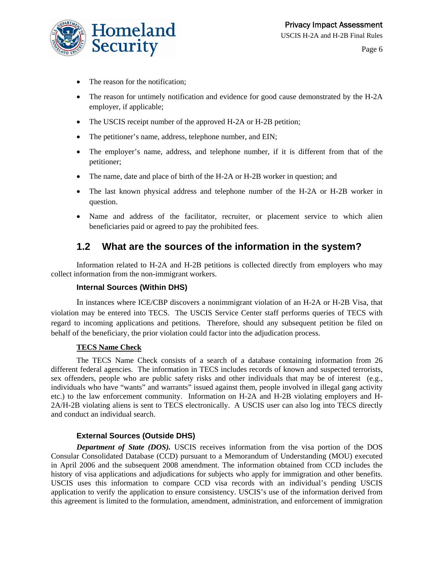

- The reason for the notification;
- The reason for untimely notification and evidence for good cause demonstrated by the H-2A employer, if applicable;
- The USCIS receipt number of the approved H-2A or H-2B petition;
- The petitioner's name, address, telephone number, and EIN;
- The employer's name, address, and telephone number, if it is different from that of the petitioner;
- The name, date and place of birth of the H-2A or H-2B worker in question; and
- The last known physical address and telephone number of the H-2A or H-2B worker in question.
- Name and address of the facilitator, recruiter, or placement service to which alien beneficiaries paid or agreed to pay the prohibited fees.

### **1.2 What are the sources of the information in the system?**

Information related to H-2A and H-2B petitions is collected directly from employers who may collect information from the non-immigrant workers.

#### **Internal Sources (Within DHS)**

In instances where ICE/CBP discovers a nonimmigrant violation of an H-2A or H-2B Visa, that violation may be entered into TECS. The USCIS Service Center staff performs queries of TECS with regard to incoming applications and petitions. Therefore, should any subsequent petition be filed on behalf of the beneficiary, the prior violation could factor into the adjudication process.

#### **TECS Name Check**

The TECS Name Check consists of a search of a database containing information from 26 different federal agencies. The information in TECS includes records of known and suspected terrorists, sex offenders, people who are public safety risks and other individuals that may be of interest (e.g., individuals who have "wants" and warrants" issued against them, people involved in illegal gang activity etc.) to the law enforcement community. Information on H-2A and H-2B violating employers and H-2A/H-2B violating aliens is sent to TECS electronically. A USCIS user can also log into TECS directly and conduct an individual search.

#### **External Sources (Outside DHS)**

*Department of State (DOS).* USCIS receives information from the visa portion of the DOS Consular Consolidated Database (CCD) pursuant to a Memorandum of Understanding (MOU) executed in April 2006 and the subsequent 2008 amendment. The information obtained from CCD includes the history of visa applications and adjudications for subjects who apply for immigration and other benefits. USCIS uses this information to compare CCD visa records with an individual's pending USCIS application to verify the application to ensure consistency. USCIS's use of the information derived from this agreement is limited to the formulation, amendment, administration, and enforcement of immigration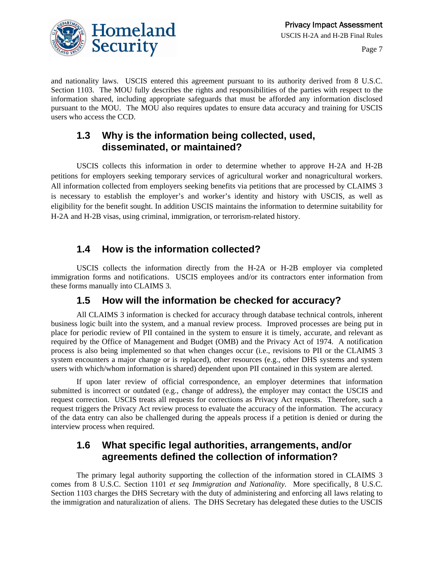

and nationality laws. USCIS entered this agreement pursuant to its authority derived from 8 U.S.C. Section 1103. The MOU fully describes the rights and responsibilities of the parties with respect to the information shared, including appropriate safeguards that must be afforded any information disclosed pursuant to the MOU. The MOU also requires updates to ensure data accuracy and training for USCIS users who access the CCD.

#### **1.3 Why is the information being collected, used, disseminated, or maintained?**

USCIS collects this information in order to determine whether to approve H-2A and H-2B petitions for employers seeking temporary services of agricultural worker and nonagricultural workers. All information collected from employers seeking benefits via petitions that are processed by CLAIMS 3 is necessary to establish the employer's and worker's identity and history with USCIS, as well as eligibility for the benefit sought. In addition USCIS maintains the information to determine suitability for H-2A and H-2B visas, using criminal, immigration, or terrorism-related history.

### **1.4 How is the information collected?**

USCIS collects the information directly from the H-2A or H-2B employer via completed immigration forms and notifications. USCIS employees and/or its contractors enter information from these forms manually into CLAIMS 3.

### **1.5 How will the information be checked for accuracy?**

All CLAIMS 3 information is checked for accuracy through database technical controls, inherent business logic built into the system, and a manual review process. Improved processes are being put in place for periodic review of PII contained in the system to ensure it is timely, accurate, and relevant as required by the Office of Management and Budget (OMB) and the Privacy Act of 1974. A notification process is also being implemented so that when changes occur (i.e., revisions to PII or the CLAIMS 3 system encounters a major change or is replaced), other resources (e.g., other DHS systems and system users with which/whom information is shared) dependent upon PII contained in this system are alerted.

If upon later review of official correspondence, an employer determines that information submitted is incorrect or outdated (e.g., change of address), the employer may contact the USCIS and request correction. USCIS treats all requests for corrections as Privacy Act requests. Therefore, such a request triggers the Privacy Act review process to evaluate the accuracy of the information. The accuracy of the data entry can also be challenged during the appeals process if a petition is denied or during the interview process when required.

### **1.6 What specific legal authorities, arrangements, and/or agreements defined the collection of information?**

The primary legal authority supporting the collection of the information stored in CLAIMS 3 comes from 8 U.S.C. Section 1101 *et seq Immigration and Nationality*. More specifically, 8 U.S.C. Section 1103 charges the DHS Secretary with the duty of administering and enforcing all laws relating to the immigration and naturalization of aliens. The DHS Secretary has delegated these duties to the USCIS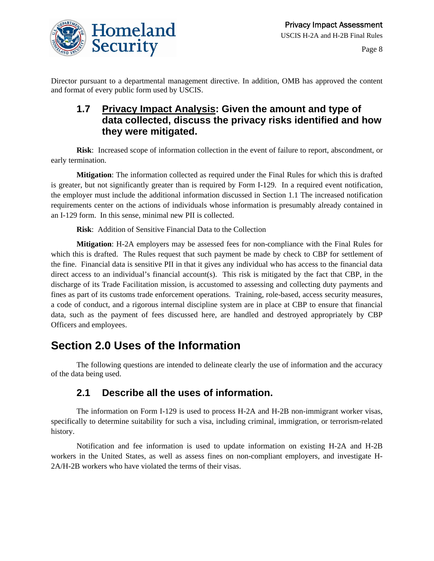

Director pursuant to a departmental management directive. In addition, OMB has approved the content and format of every public form used by USCIS.

### **1.7 Privacy Impact Analysis: Given the amount and type of data collected, discuss the privacy risks identified and how they were mitigated.**

**Risk**: Increased scope of information collection in the event of failure to report, abscondment, or early termination.

**Mitigation**: The information collected as required under the Final Rules for which this is drafted is greater, but not significantly greater than is required by Form I-129. In a required event notification, the employer must include the additional information discussed in Section 1.1 The increased notification requirements center on the actions of individuals whose information is presumably already contained in an I-129 form. In this sense, minimal new PII is collected.

**Risk**: Addition of Sensitive Financial Data to the Collection

**Mitigation**: H-2A employers may be assessed fees for non-compliance with the Final Rules for which this is drafted. The Rules request that such payment be made by check to CBP for settlement of the fine. Financial data is sensitive PII in that it gives any individual who has access to the financial data direct access to an individual's financial account(s). This risk is mitigated by the fact that CBP, in the discharge of its Trade Facilitation mission, is accustomed to assessing and collecting duty payments and fines as part of its customs trade enforcement operations. Training, role-based, access security measures, a code of conduct, and a rigorous internal discipline system are in place at CBP to ensure that financial data, such as the payment of fees discussed here, are handled and destroyed appropriately by CBP Officers and employees.

## **Section 2.0 Uses of the Information**

The following questions are intended to delineate clearly the use of information and the accuracy of the data being used.

#### **2.1 Describe all the uses of information.**

The information on Form I-129 is used to process H-2A and H-2B non-immigrant worker visas, specifically to determine suitability for such a visa, including criminal, immigration, or terrorism-related history.

Notification and fee information is used to update information on existing H-2A and H-2B workers in the United States, as well as assess fines on non-compliant employers, and investigate H-2A/H-2B workers who have violated the terms of their visas.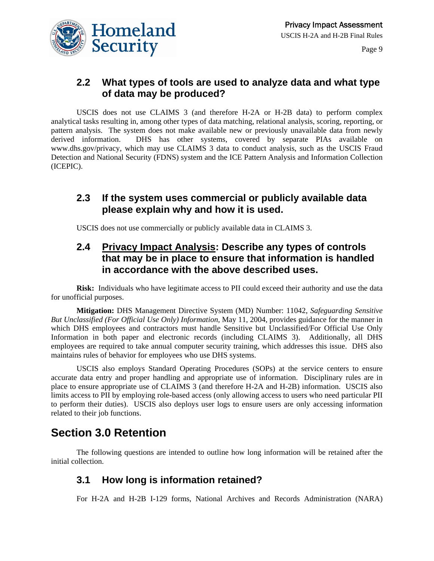

### **2.2 What types of tools are used to analyze data and what type of data may be produced?**

USCIS does not use CLAIMS 3 (and therefore H-2A or H-2B data) to perform complex analytical tasks resulting in, among other types of data matching, relational analysis, scoring, reporting, or pattern analysis. The system does not make available new or previously unavailable data from newly derived information. DHS has other systems, covered by separate PIAs available on www.dhs.gov/privacy, which may use CLAIMS 3 data to conduct analysis, such as the USCIS Fraud Detection and National Security (FDNS) system and the ICE Pattern Analysis and Information Collection (ICEPIC).

### **2.3 If the system uses commercial or publicly available data please explain why and how it is used.**

USCIS does not use commercially or publicly available data in CLAIMS 3.

### **2.4 Privacy Impact Analysis: Describe any types of controls that may be in place to ensure that information is handled in accordance with the above described uses.**

**Risk:** Individuals who have legitimate access to PII could exceed their authority and use the data for unofficial purposes.

**Mitigation:** DHS Management Directive System (MD) Number: 11042, *Safeguarding Sensitive But Unclassified (For Official Use Only) Information,* May 11, 2004, provides guidance for the manner in which DHS employees and contractors must handle Sensitive but Unclassified/For Official Use Only Information in both paper and electronic records (including CLAIMS 3). Additionally, all DHS employees are required to take annual computer security training, which addresses this issue. DHS also maintains rules of behavior for employees who use DHS systems.

USCIS also employs Standard Operating Procedures (SOPs) at the service centers to ensure accurate data entry and proper handling and appropriate use of information. Disciplinary rules are in place to ensure appropriate use of CLAIMS 3 (and therefore H-2A and H-2B) information. USCIS also limits access to PII by employing role-based access (only allowing access to users who need particular PII to perform their duties). USCIS also deploys user logs to ensure users are only accessing information related to their job functions.

## **Section 3.0 Retention**

The following questions are intended to outline how long information will be retained after the initial collection.

### **3.1 How long is information retained?**

For H-2A and H-2B I-129 forms, National Archives and Records Administration (NARA)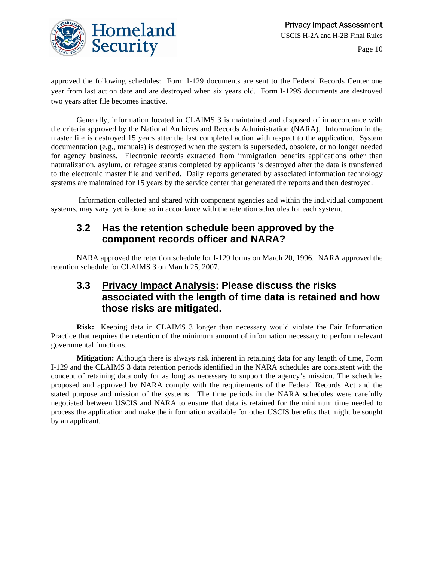

approved the following schedules: Form I-129 documents are sent to the Federal Records Center one year from last action date and are destroyed when six years old. Form I-129S documents are destroyed two years after file becomes inactive.

Generally, information located in CLAIMS 3 is maintained and disposed of in accordance with the criteria approved by the National Archives and Records Administration (NARA). Information in the master file is destroyed 15 years after the last completed action with respect to the application. System documentation (e.g., manuals) is destroyed when the system is superseded, obsolete, or no longer needed for agency business. Electronic records extracted from immigration benefits applications other than naturalization, asylum, or refugee status completed by applicants is destroyed after the data is transferred to the electronic master file and verified. Daily reports generated by associated information technology systems are maintained for 15 years by the service center that generated the reports and then destroyed.

 Information collected and shared with component agencies and within the individual component systems, may vary, yet is done so in accordance with the retention schedules for each system.

### **3.2 Has the retention schedule been approved by the component records officer and NARA?**

NARA approved the retention schedule for I-129 forms on March 20, 1996. NARA approved the retention schedule for CLAIMS 3 on March 25, 2007.

### **3.3 Privacy Impact Analysis: Please discuss the risks associated with the length of time data is retained and how those risks are mitigated.**

**Risk:** Keeping data in CLAIMS 3 longer than necessary would violate the Fair Information Practice that requires the retention of the minimum amount of information necessary to perform relevant governmental functions.

**Mitigation:** Although there is always risk inherent in retaining data for any length of time, Form I-129 and the CLAIMS 3 data retention periods identified in the NARA schedules are consistent with the concept of retaining data only for as long as necessary to support the agency's mission. The schedules proposed and approved by NARA comply with the requirements of the Federal Records Act and the stated purpose and mission of the systems. The time periods in the NARA schedules were carefully negotiated between USCIS and NARA to ensure that data is retained for the minimum time needed to process the application and make the information available for other USCIS benefits that might be sought by an applicant.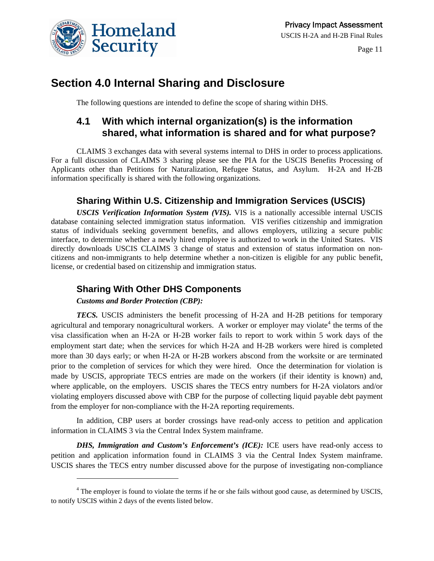

## **Section 4.0 Internal Sharing and Disclosure**

The following questions are intended to define the scope of sharing within DHS.

### **4.1 With which internal organization(s) is the information shared, what information is shared and for what purpose?**

CLAIMS 3 exchanges data with several systems internal to DHS in order to process applications. For a full discussion of CLAIMS 3 sharing please see the PIA for the USCIS Benefits Processing of Applicants other than Petitions for Naturalization, Refugee Status, and Asylum. H-2A and H-2B information specifically is shared with the following organizations.

### **Sharing Within U.S. Citizenship and Immigration Services (USCIS)**

*USCIS Verification Information System (VIS).* VIS is a nationally accessible internal USCIS database containing selected immigration status information. VIS verifies citizenship and immigration status of individuals seeking government benefits, and allows employers, utilizing a secure public interface, to determine whether a newly hired employee is authorized to work in the United States. VIS directly downloads USCIS CLAIMS 3 change of status and extension of status information on noncitizens and non-immigrants to help determine whether a non-citizen is eligible for any public benefit, license, or credential based on citizenship and immigration status.

#### **Sharing With Other DHS Components**

#### *Customs and Border Protection (CBP):*

l

*TECS.* USCIS administers the benefit processing of H-2A and H-2B petitions for temporary agricultural and temporary nonagricultural workers. A worker or employer may violate<sup>[4](#page-10-0)</sup> the terms of the visa classification when an H-2A or H-2B worker fails to report to work within 5 work days of the employment start date; when the services for which H-2A and H-2B workers were hired is completed more than 30 days early; or when H-2A or H-2B workers abscond from the worksite or are terminated prior to the completion of services for which they were hired. Once the determination for violation is made by USCIS, appropriate TECS entries are made on the workers (if their identity is known) and, where applicable, on the employers. USCIS shares the TECS entry numbers for H-2A violators and/or violating employers discussed above with CBP for the purpose of collecting liquid payable debt payment from the employer for non-compliance with the H-2A reporting requirements.

In addition, CBP users at border crossings have read-only access to petition and application information in CLAIMS 3 via the Central Index System mainframe.

*DHS, Immigration and Custom's Enforcement's (ICE):* ICE users have read-only access to petition and application information found in CLAIMS 3 via the Central Index System mainframe. USCIS shares the TECS entry number discussed above for the purpose of investigating non-compliance

<span id="page-10-0"></span><sup>&</sup>lt;sup>4</sup> The employer is found to violate the terms if he or she fails without good cause, as determined by USCIS, to notify USCIS within 2 days of the events listed below.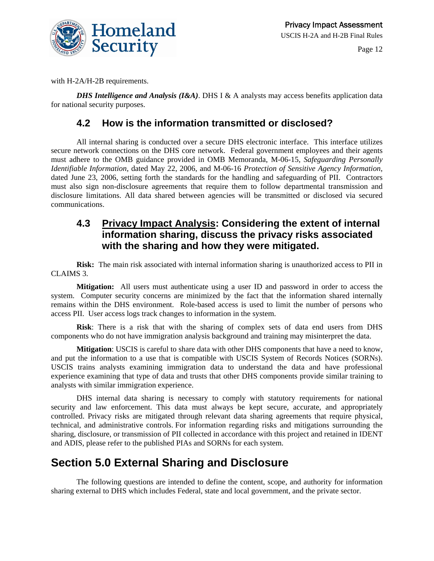

with H-2A/H-2B requirements.

*DHS Intelligence and Analysis (I&A)*. DHS I & A analysts may access benefits application data for national security purposes.

### **4.2 How is the information transmitted or disclosed?**

All internal sharing is conducted over a secure DHS electronic interface. This interface utilizes secure network connections on the DHS core network. Federal government employees and their agents must adhere to the OMB guidance provided in OMB Memoranda, M-06-15, *Safeguarding Personally Identifiable Information*, dated May 22, 2006, and M-06-16 *Protection of Sensitive Agency Information*, dated June 23, 2006, setting forth the standards for the handling and safeguarding of PII. Contractors must also sign non-disclosure agreements that require them to follow departmental transmission and disclosure limitations. All data shared between agencies will be transmitted or disclosed via secured communications.

### **4.3 Privacy Impact Analysis: Considering the extent of internal information sharing, discuss the privacy risks associated with the sharing and how they were mitigated.**

**Risk:** The main risk associated with internal information sharing is unauthorized access to PII in CLAIMS 3.

**Mitigation:**All users must authenticate using a user ID and password in order to access the system. Computer security concerns are minimized by the fact that the information shared internally remains within the DHS environment. Role-based access is used to limit the number of persons who access PII. User access logs track changes to information in the system.

**Risk**: There is a risk that with the sharing of complex sets of data end users from DHS components who do not have immigration analysis background and training may misinterpret the data.

**Mitigation**: USCIS is careful to share data with other DHS components that have a need to know, and put the information to a use that is compatible with USCIS System of Records Notices (SORNs). USCIS trains analysts examining immigration data to understand the data and have professional experience examining that type of data and trusts that other DHS components provide similar training to analysts with similar immigration experience.

DHS internal data sharing is necessary to comply with statutory requirements for national security and law enforcement. This data must always be kept secure, accurate, and appropriately controlled. Privacy risks are mitigated through relevant data sharing agreements that require physical, technical, and administrative controls. For information regarding risks and mitigations surrounding the sharing, disclosure, or transmission of PII collected in accordance with this project and retained in IDENT and ADIS, please refer to the published PIAs and SORNs for each system.

## **Section 5.0 External Sharing and Disclosure**

The following questions are intended to define the content, scope, and authority for information sharing external to DHS which includes Federal, state and local government, and the private sector.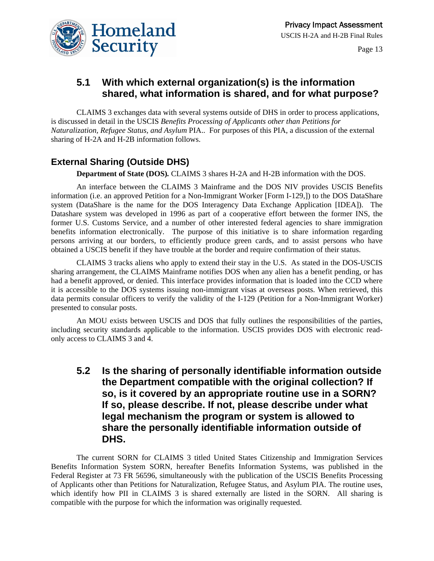



### **5.1 With which external organization(s) is the information shared, what information is shared, and for what purpose?**

CLAIMS 3 exchanges data with several systems outside of DHS in order to process applications, is discussed in detail in the USCIS *Benefits Processing of Applicants other than Petitions for Naturalization, Refugee Status, and Asylum* PIA.. For purposes of this PIA, a discussion of the external sharing of H-2A and H-2B information follows.

#### **External Sharing (Outside DHS)**

**Department of State (DOS)***.* CLAIMS 3 shares H-2A and H-2B information with the DOS.

An interface between the CLAIMS 3 Mainframe and the DOS NIV provides USCIS Benefits information (i.e. an approved Petition for a Non-Immigrant Worker [Form I-129,]) to the DOS DataShare system (DataShare is the name for the DOS Interagency Data Exchange Application [IDEA]). The Datashare system was developed in 1996 as part of a cooperative effort between the former INS, the former U.S. Customs Service, and a number of other interested federal agencies to share immigration benefits information electronically. The purpose of this initiative is to share information regarding persons arriving at our borders, to efficiently produce green cards, and to assist persons who have obtained a USCIS benefit if they have trouble at the border and require confirmation of their status.

CLAIMS 3 tracks aliens who apply to extend their stay in the U.S. As stated in the DOS-USCIS sharing arrangement, the CLAIMS Mainframe notifies DOS when any alien has a benefit pending, or has had a benefit approved, or denied. This interface provides information that is loaded into the CCD where it is accessible to the DOS systems issuing non-immigrant visas at overseas posts. When retrieved, this data permits consular officers to verify the validity of the I-129 (Petition for a Non-Immigrant Worker) presented to consular posts.

An MOU exists between USCIS and DOS that fully outlines the responsibilities of the parties, including security standards applicable to the information. USCIS provides DOS with electronic readonly access to CLAIMS 3 and 4.

### **5.2 Is the sharing of personally identifiable information outside the Department compatible with the original collection? If so, is it covered by an appropriate routine use in a SORN? If so, please describe. If not, please describe under what legal mechanism the program or system is allowed to share the personally identifiable information outside of DHS.**

The current SORN for CLAIMS 3 titled United States Citizenship and Immigration Services Benefits Information System SORN, hereafter Benefits Information Systems, was published in the Federal Register at 73 FR 56596, simultaneously with the publication of the USCIS Benefits Processing of Applicants other than Petitions for Naturalization, Refugee Status, and Asylum PIA. The routine uses, which identify how PII in CLAIMS 3 is shared externally are listed in the SORN. All sharing is compatible with the purpose for which the information was originally requested.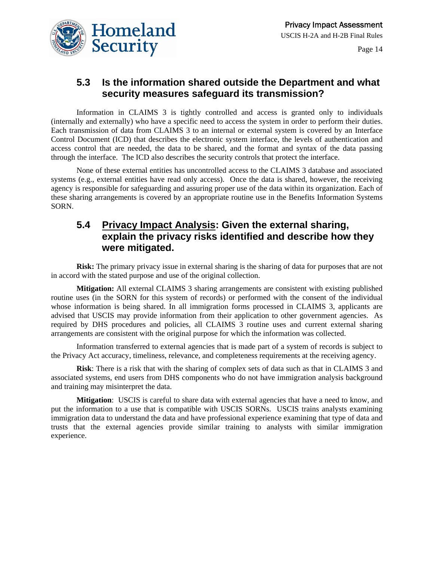

### **5.3 Is the information shared outside the Department and what security measures safeguard its transmission?**

Information in CLAIMS 3 is tightly controlled and access is granted only to individuals (internally and externally) who have a specific need to access the system in order to perform their duties. Each transmission of data from CLAIMS 3 to an internal or external system is covered by an Interface Control Document (ICD) that describes the electronic system interface, the levels of authentication and access control that are needed, the data to be shared, and the format and syntax of the data passing through the interface. The ICD also describes the security controls that protect the interface.

None of these external entities has uncontrolled access to the CLAIMS 3 database and associated systems (e.g., external entities have read only access). Once the data is shared, however, the receiving agency is responsible for safeguarding and assuring proper use of the data within its organization. Each of these sharing arrangements is covered by an appropriate routine use in the Benefits Information Systems SORN.

### **5.4 Privacy Impact Analysis: Given the external sharing, explain the privacy risks identified and describe how they were mitigated.**

**Risk:** The primary privacy issue in external sharing is the sharing of data for purposes that are not in accord with the stated purpose and use of the original collection.

**Mitigation:** All external CLAIMS 3 sharing arrangements are consistent with existing published routine uses (in the SORN for this system of records) or performed with the consent of the individual whose information is being shared. In all immigration forms processed in CLAIMS 3, applicants are advised that USCIS may provide information from their application to other government agencies. As required by DHS procedures and policies, all CLAIMS 3 routine uses and current external sharing arrangements are consistent with the original purpose for which the information was collected.

Information transferred to external agencies that is made part of a system of records is subject to the Privacy Act accuracy, timeliness, relevance, and completeness requirements at the receiving agency.

**Risk**: There is a risk that with the sharing of complex sets of data such as that in CLAIMS 3 and associated systems, end users from DHS components who do not have immigration analysis background and training may misinterpret the data.

**Mitigation**: USCIS is careful to share data with external agencies that have a need to know, and put the information to a use that is compatible with USCIS SORNs. USCIS trains analysts examining immigration data to understand the data and have professional experience examining that type of data and trusts that the external agencies provide similar training to analysts with similar immigration experience.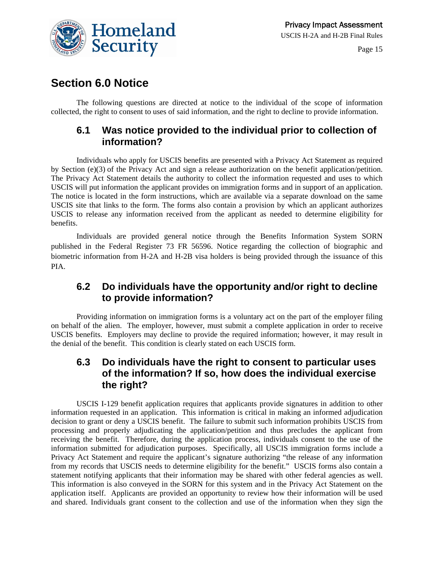

### **Section 6.0 Notice**

The following questions are directed at notice to the individual of the scope of information collected, the right to consent to uses of said information, and the right to decline to provide information.

### **6.1 Was notice provided to the individual prior to collection of information?**

Individuals who apply for USCIS benefits are presented with a Privacy Act Statement as required by Section (e)(3) of the Privacy Act and sign a release authorization on the benefit application/petition. The Privacy Act Statement details the authority to collect the information requested and uses to which USCIS will put information the applicant provides on immigration forms and in support of an application. The notice is located in the form instructions, which are available via a separate download on the same USCIS site that links to the form. The forms also contain a provision by which an applicant authorizes USCIS to release any information received from the applicant as needed to determine eligibility for benefits.

Individuals are provided general notice through the Benefits Information System SORN published in the Federal Register 73 FR 56596. Notice regarding the collection of biographic and biometric information from H-2A and H-2B visa holders is being provided through the issuance of this PIA.

### **6.2 Do individuals have the opportunity and/or right to decline to provide information?**

Providing information on immigration forms is a voluntary act on the part of the employer filing on behalf of the alien. The employer, however, must submit a complete application in order to receive USCIS benefits. Employers may decline to provide the required information; however, it may result in the denial of the benefit. This condition is clearly stated on each USCIS form.

### **6.3 Do individuals have the right to consent to particular uses of the information? If so, how does the individual exercise the right?**

USCIS I-129 benefit application requires that applicants provide signatures in addition to other information requested in an application. This information is critical in making an informed adjudication decision to grant or deny a USCIS benefit. The failure to submit such information prohibits USCIS from processing and properly adjudicating the application/petition and thus precludes the applicant from receiving the benefit. Therefore, during the application process, individuals consent to the use of the information submitted for adjudication purposes. Specifically, all USCIS immigration forms include a Privacy Act Statement and require the applicant's signature authorizing "the release of any information from my records that USCIS needs to determine eligibility for the benefit." USCIS forms also contain a statement notifying applicants that their information may be shared with other federal agencies as well. This information is also conveyed in the SORN for this system and in the Privacy Act Statement on the application itself. Applicants are provided an opportunity to review how their information will be used and shared. Individuals grant consent to the collection and use of the information when they sign the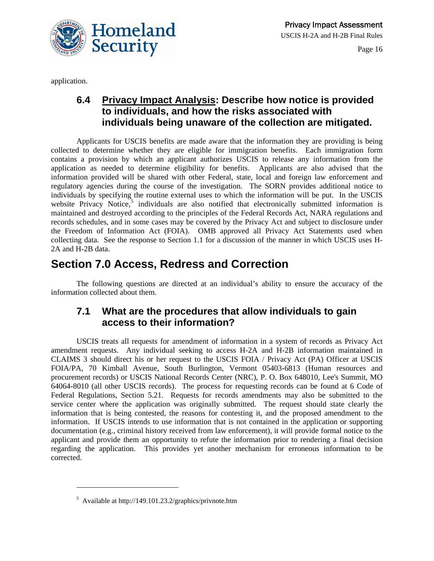

application.

### **6.4 Privacy Impact Analysis: Describe how notice is provided to individuals, and how the risks associated with individuals being unaware of the collection are mitigated.**

Applicants for USCIS benefits are made aware that the information they are providing is being collected to determine whether they are eligible for immigration benefits. Each immigration form contains a provision by which an applicant authorizes USCIS to release any information from the application as needed to determine eligibility for benefits. Applicants are also advised that the information provided will be shared with other Federal, state, local and foreign law enforcement and regulatory agencies during the course of the investigation. The SORN provides additional notice to individuals by specifying the routine external uses to which the information will be put. In the USCIS website Privacy Notice, $5$  individuals are also notified that electronically submitted information is maintained and destroyed according to the principles of the Federal Records Act, NARA regulations and records schedules, and in some cases may be covered by the Privacy Act and subject to disclosure under the Freedom of Information Act (FOIA). OMB approved all Privacy Act Statements used when collecting data. See the response to Section 1.1 for a discussion of the manner in which USCIS uses H-2A and H-2B data.

## **Section 7.0 Access, Redress and Correction**

The following questions are directed at an individual's ability to ensure the accuracy of the information collected about them.

### **7.1 What are the procedures that allow individuals to gain access to their information?**

USCIS treats all requests for amendment of information in a system of records as Privacy Act amendment requests. Any individual seeking to access H-2A and H-2B information maintained in CLAIMS 3 should direct his or her request to the USCIS FOIA / Privacy Act (PA) Officer at USCIS FOIA/PA, 70 Kimball Avenue, South Burlington, Vermont 05403-6813 (Human resources and procurement records) or USCIS National Records Center (NRC), P. O. Box 648010, Lee's Summit, MO 64064-8010 (all other USCIS records). The process for requesting records can be found at 6 Code of Federal Regulations, Section 5.21. Requests for records amendments may also be submitted to the service center where the application was originally submitted. The request should state clearly the information that is being contested, the reasons for contesting it, and the proposed amendment to the information. If USCIS intends to use information that is not contained in the application or supporting documentation (e.g., criminal history received from law enforcement), it will provide formal notice to the applicant and provide them an opportunity to refute the information prior to rendering a final decision regarding the application. This provides yet another mechanism for erroneous information to be corrected.

 $\overline{a}$ 

<span id="page-15-0"></span><sup>&</sup>lt;sup>5</sup> Available at http://149.101.23.2/graphics/privnote.htm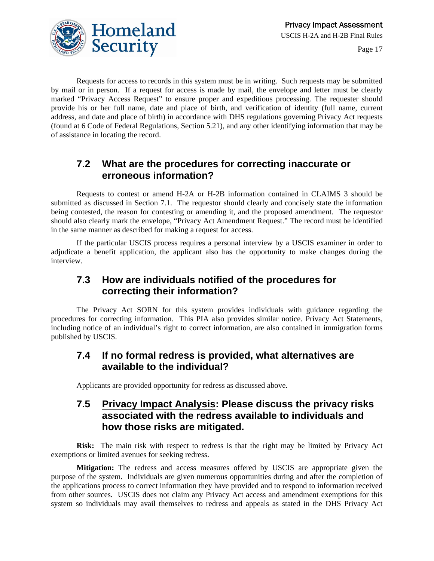

Requests for access to records in this system must be in writing. Such requests may be submitted by mail or in person. If a request for access is made by mail, the envelope and letter must be clearly marked "Privacy Access Request" to ensure proper and expeditious processing. The requester should provide his or her full name, date and place of birth, and verification of identity (full name, current address, and date and place of birth) in accordance with DHS regulations governing Privacy Act requests (found at 6 Code of Federal Regulations, Section 5.21), and any other identifying information that may be of assistance in locating the record.

### **7.2 What are the procedures for correcting inaccurate or erroneous information?**

Requests to contest or amend H-2A or H-2B information contained in CLAIMS 3 should be submitted as discussed in Section 7.1. The requestor should clearly and concisely state the information being contested, the reason for contesting or amending it, and the proposed amendment. The requestor should also clearly mark the envelope, "Privacy Act Amendment Request." The record must be identified in the same manner as described for making a request for access.

If the particular USCIS process requires a personal interview by a USCIS examiner in order to adjudicate a benefit application, the applicant also has the opportunity to make changes during the interview.

### **7.3 How are individuals notified of the procedures for correcting their information?**

The Privacy Act SORN for this system provides individuals with guidance regarding the procedures for correcting information. This PIA also provides similar notice. Privacy Act Statements, including notice of an individual's right to correct information, are also contained in immigration forms published by USCIS.

### **7.4 If no formal redress is provided, what alternatives are available to the individual?**

Applicants are provided opportunity for redress as discussed above.

### **7.5 Privacy Impact Analysis: Please discuss the privacy risks associated with the redress available to individuals and how those risks are mitigated.**

**Risk:** The main risk with respect to redress is that the right may be limited by Privacy Act exemptions or limited avenues for seeking redress.

**Mitigation:** The redress and access measures offered by USCIS are appropriate given the purpose of the system. Individuals are given numerous opportunities during and after the completion of the applications process to correct information they have provided and to respond to information received from other sources. USCIS does not claim any Privacy Act access and amendment exemptions for this system so individuals may avail themselves to redress and appeals as stated in the DHS Privacy Act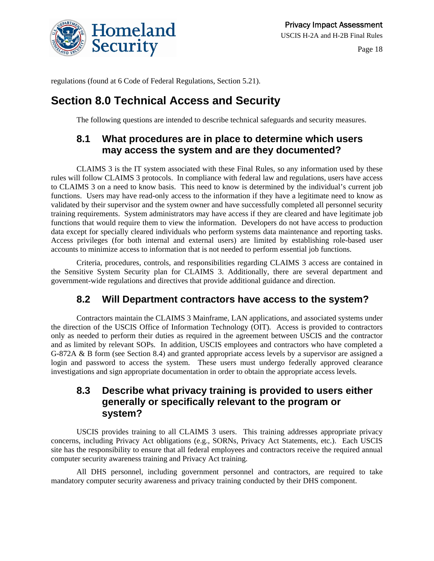

regulations (found at 6 Code of Federal Regulations, Section 5.21).

### **Section 8.0 Technical Access and Security**

The following questions are intended to describe technical safeguards and security measures.

### **8.1 What procedures are in place to determine which users may access the system and are they documented?**

CLAIMS 3 is the IT system associated with these Final Rules, so any information used by these rules will follow CLAIMS 3 protocols. In compliance with federal law and regulations, users have access to CLAIMS 3 on a need to know basis. This need to know is determined by the individual's current job functions. Users may have read-only access to the information if they have a legitimate need to know as validated by their supervisor and the system owner and have successfully completed all personnel security training requirements. System administrators may have access if they are cleared and have legitimate job functions that would require them to view the information. Developers do not have access to production data except for specially cleared individuals who perform systems data maintenance and reporting tasks. Access privileges (for both internal and external users) are limited by establishing role-based user accounts to minimize access to information that is not needed to perform essential job functions.

Criteria, procedures, controls, and responsibilities regarding CLAIMS 3 access are contained in the Sensitive System Security plan for CLAIMS 3. Additionally, there are several department and government-wide regulations and directives that provide additional guidance and direction.

### **8.2 Will Department contractors have access to the system?**

Contractors maintain the CLAIMS 3 Mainframe, LAN applications, and associated systems under the direction of the USCIS Office of Information Technology (OIT). Access is provided to contractors only as needed to perform their duties as required in the agreement between USCIS and the contractor and as limited by relevant SOPs. In addition, USCIS employees and contractors who have completed a G-872A & B form (see Section 8.4) and granted appropriate access levels by a supervisor are assigned a login and password to access the system. These users must undergo federally approved clearance investigations and sign appropriate documentation in order to obtain the appropriate access levels.

### **8.3 Describe what privacy training is provided to users either generally or specifically relevant to the program or system?**

USCIS provides training to all CLAIMS 3 users. This training addresses appropriate privacy concerns, including Privacy Act obligations (e.g., SORNs, Privacy Act Statements, etc.). Each USCIS site has the responsibility to ensure that all federal employees and contractors receive the required annual computer security awareness training and Privacy Act training.

All DHS personnel, including government personnel and contractors, are required to take mandatory computer security awareness and privacy training conducted by their DHS component.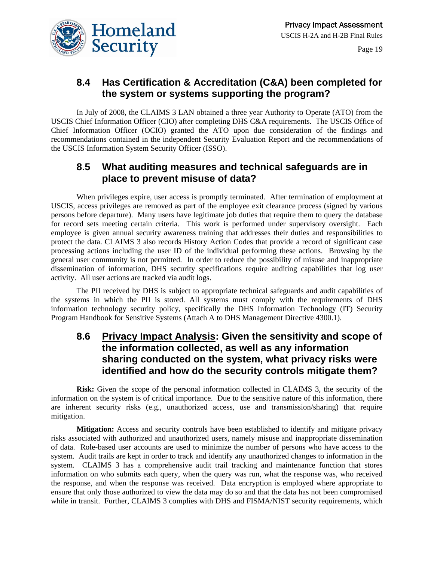

### **8.4 Has Certification & Accreditation (C&A) been completed for the system or systems supporting the program?**

In July of 2008, the CLAIMS 3 LAN obtained a three year Authority to Operate (ATO) from the USCIS Chief Information Officer (CIO) after completing DHS C&A requirements. The USCIS Office of Chief Information Officer (OCIO) granted the ATO upon due consideration of the findings and recommendations contained in the independent Security Evaluation Report and the recommendations of the USCIS Information System Security Officer (ISSO).

### **8.5 What auditing measures and technical safeguards are in place to prevent misuse of data?**

When privileges expire, user access is promptly terminated. After termination of employment at USCIS, access privileges are removed as part of the employee exit clearance process (signed by various persons before departure). Many users have legitimate job duties that require them to query the database for record sets meeting certain criteria. This work is performed under supervisory oversight. Each employee is given annual security awareness training that addresses their duties and responsibilities to protect the data. CLAIMS 3 also records History Action Codes that provide a record of significant case processing actions including the user ID of the individual performing these actions. Browsing by the general user community is not permitted. In order to reduce the possibility of misuse and inappropriate dissemination of information, DHS security specifications require auditing capabilities that log user activity. All user actions are tracked via audit logs.

The PII received by DHS is subject to appropriate technical safeguards and audit capabilities of the systems in which the PII is stored. All systems must comply with the requirements of DHS information technology security policy, specifically the DHS Information Technology (IT) Security Program Handbook for Sensitive Systems (Attach A to DHS Management Directive 4300.1).

### **8.6 Privacy Impact Analysis: Given the sensitivity and scope of the information collected, as well as any information sharing conducted on the system, what privacy risks were identified and how do the security controls mitigate them?**

Risk: Given the scope of the personal information collected in CLAIMS 3, the security of the information on the system is of critical importance. Due to the sensitive nature of this information, there are inherent security risks (e.g., unauthorized access, use and transmission/sharing) that require mitigation.

**Mitigation:** Access and security controls have been established to identify and mitigate privacy risks associated with authorized and unauthorized users, namely misuse and inappropriate dissemination of data. Role-based user accounts are used to minimize the number of persons who have access to the system. Audit trails are kept in order to track and identify any unauthorized changes to information in the system. CLAIMS 3 has a comprehensive audit trail tracking and maintenance function that stores information on who submits each query, when the query was run, what the response was, who received the response, and when the response was received. Data encryption is employed where appropriate to ensure that only those authorized to view the data may do so and that the data has not been compromised while in transit. Further, CLAIMS 3 complies with DHS and FISMA/NIST security requirements, which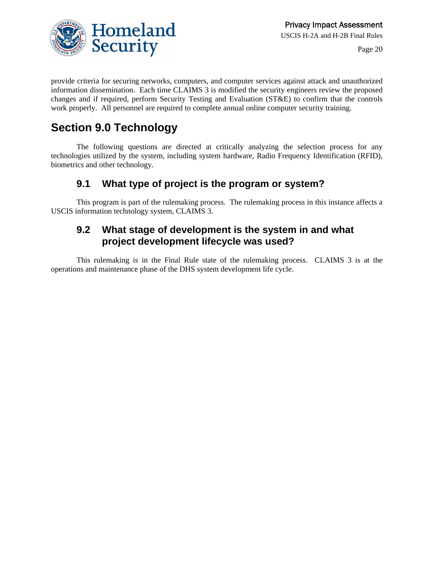

provide criteria for securing networks, computers, and computer services against attack and unauthorized information dissemination. Each time CLAIMS 3 is modified the security engineers review the proposed changes and if required, perform Security Testing and Evaluation (ST&E) to confirm that the controls work properly. All personnel are required to complete annual online computer security training.

## **Section 9.0 Technology**

The following questions are directed at critically analyzing the selection process for any technologies utilized by the system, including system hardware, Radio Frequency Identification (RFID), biometrics and other technology.

### **9.1 What type of project is the program or system?**

This program is part of the rulemaking process. The rulemaking process in this instance affects a USCIS information technology system, CLAIMS 3.

### **9.2 What stage of development is the system in and what project development lifecycle was used?**

This rulemaking is in the Final Rule state of the rulemaking process. CLAIMS 3 is at the operations and maintenance phase of the DHS system development life cycle.